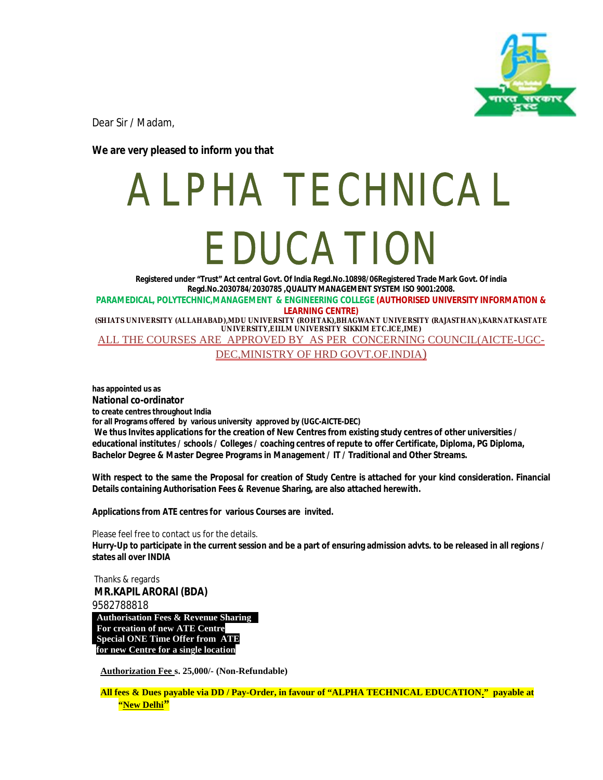

Dear Sir / Madam,

**We are very pleased to inform you that** 

## ALPHA TECHNICAL EDUCATION

**Registered under "Trust" Act central Govt. Of India Regd.No.10898/06Registered Trade Mark Govt. Of india Regd.No.2030784/2030785 ,QUALITY MANAGEMENT SYSTEM ISO 9001:2008. PARAMEDICAL, POLYTECHNIC,MANAGEMENT & ENGINEERING COLLEGE (AUTHORISED UNIVERSITY INFORMATION & LEARNING CENTRE)**

**(SHIATS UNIVERSITY (ALLAHABAD),MDU UNIVERSITY (ROHTAK),BHAGWANT UNIVERSITY (RAJASTHAN),KARNATKASTATE UNIVERSITY,EIILM UNIVERSITY SIKKIM ETC.ICE,IME)**

ALL THE COURSES ARE APPROVED BY AS PER CONCERNING COUNCIL(AICTE-UGC-DEC,MINISTRY OF HRD GOVT.OF.INDIA)

**has appointed us as National co-ordinator to create centres throughout India for all Programs offered by various university approved by (UGC-AICTE-DEC) We thus Invites applications for the creation of New Centres from existing study centres of other universities / educational institutes / schools / Colleges / coaching centres of repute to offer Certificate, Diploma, PG Diploma, Bachelor Degree & Master Degree Programs in Management / IT / Traditional and Other Streams.**

**With respect to the same the Proposal for creation of Study Centre is attached for your kind consideration. Financial Details containing Authorisation Fees & Revenue Sharing, are also attached herewith.**

**Applications from ATE centres for various Courses are invited.** 

Please feel free to contact us for the details. **Hurry-Up to participate in the current session and be a part of ensuring admission advts. to be released in all regions / states all over INDIA**

Thanks & regards **MR.KAPIL ARORAl (BDA)** 9582788818

**Authorisation Fees & Revenue Sharing . For creation of new ATE Centre Special ONE Time Offer from ATE for new Centre for a single location**

**Authorization Fee s. 25,000/- (Non-Refundable)** 

**All fees & Dues payable via DD / Pay-Order, in favour of "ALPHA TECHNICAL EDUCATION." payable at "New Delhi"**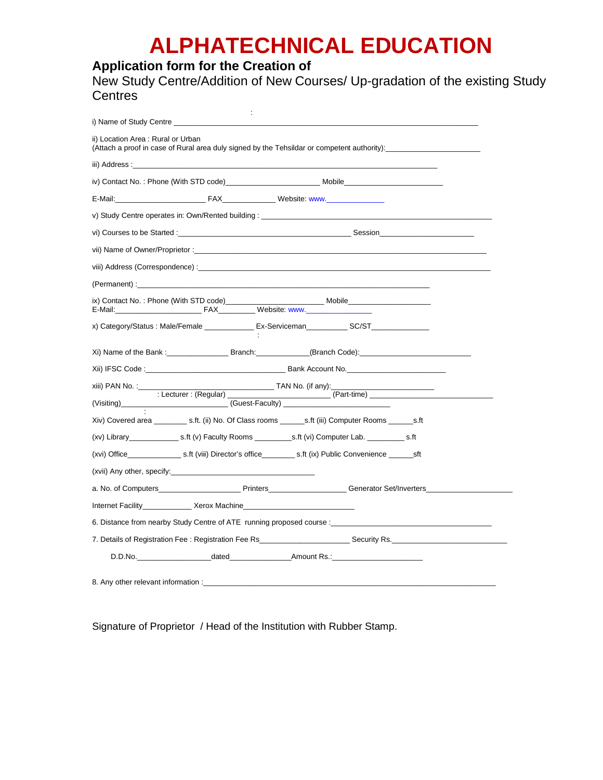## **ALPHATECHNICAL EDUCATION**

## **Application form for the Creation of**

New Study Centre/Addition of New Courses/ Up-gradation of the existing Study **Centres** 

| ii) Location Area: Rural or Urban                                                                                                                                                                                              |                               |                                                                                                                                                                                                                                |                                   |
|--------------------------------------------------------------------------------------------------------------------------------------------------------------------------------------------------------------------------------|-------------------------------|--------------------------------------------------------------------------------------------------------------------------------------------------------------------------------------------------------------------------------|-----------------------------------|
|                                                                                                                                                                                                                                |                               |                                                                                                                                                                                                                                |                                   |
| iii) Address: the control of the control of the control of the control of the control of the control of the control of the control of the control of the control of the control of the control of the control of the control o |                               |                                                                                                                                                                                                                                |                                   |
|                                                                                                                                                                                                                                |                               | iv) Contact No.: Phone (With STD code)_____________________________Mobile___________________________                                                                                                                           |                                   |
|                                                                                                                                                                                                                                |                               | E-Mail: FAX Website: www.                                                                                                                                                                                                      |                                   |
|                                                                                                                                                                                                                                |                               | v) Study Centre operates in: Own/Rented building: _______________________________                                                                                                                                              |                                   |
|                                                                                                                                                                                                                                |                               | vi) Courses to be Started : example and the started state of the Started Session and Session and Session and Session                                                                                                           |                                   |
|                                                                                                                                                                                                                                |                               |                                                                                                                                                                                                                                |                                   |
|                                                                                                                                                                                                                                |                               | viii) Address (Correspondence) : exercise and contract the contract of the contract of the contract of the contract of the contract of the contract of the contract of the contract of the contract of the contract of the con |                                   |
|                                                                                                                                                                                                                                |                               |                                                                                                                                                                                                                                |                                   |
|                                                                                                                                                                                                                                |                               |                                                                                                                                                                                                                                |                                   |
|                                                                                                                                                                                                                                |                               | x) Category/Status : Male/Female ________________Ex-Serviceman_____________SC/ST___________________                                                                                                                            |                                   |
|                                                                                                                                                                                                                                |                               |                                                                                                                                                                                                                                |                                   |
|                                                                                                                                                                                                                                |                               |                                                                                                                                                                                                                                |                                   |
| xiii) PAN No. :____                                                                                                                                                                                                            |                               | TAN No. (if any):                                                                                                                                                                                                              | the control of the control of the |
|                                                                                                                                                                                                                                | : Lecturer : (Regular) ______ | $(Part-time)$                                                                                                                                                                                                                  |                                   |
|                                                                                                                                                                                                                                |                               |                                                                                                                                                                                                                                |                                   |
|                                                                                                                                                                                                                                |                               |                                                                                                                                                                                                                                |                                   |
|                                                                                                                                                                                                                                |                               |                                                                                                                                                                                                                                |                                   |
| (xvii) Any other, specify: (xviii) Any other, specify:                                                                                                                                                                         |                               |                                                                                                                                                                                                                                |                                   |
|                                                                                                                                                                                                                                |                               |                                                                                                                                                                                                                                |                                   |
| Internet Facility Xerox Machine                                                                                                                                                                                                |                               |                                                                                                                                                                                                                                |                                   |
|                                                                                                                                                                                                                                |                               | 6. Distance from nearby Study Centre of ATE running proposed course : www.community.com/                                                                                                                                       |                                   |
|                                                                                                                                                                                                                                |                               | 7. Details of Registration Fee : Registration Fee Rs____________________________Security Rs.                                                                                                                                   |                                   |
|                                                                                                                                                                                                                                |                               |                                                                                                                                                                                                                                |                                   |

Signature of Proprietor / Head of the Institution with Rubber Stamp.